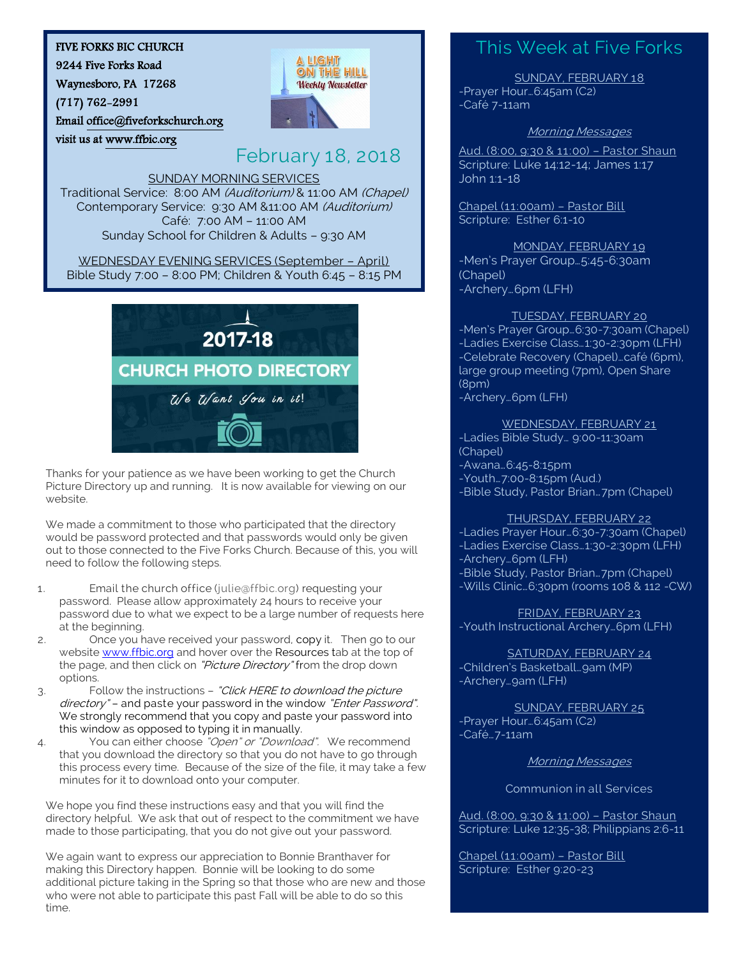#### FIVE FORKS BIC CHURCH

9244 Five Forks Road

Waynesboro, PA 17268

visit us at [www.ffbic.org](http://www.ffbic.org/) 

(717) 762-2991

Emai[l office@fiveforkschurch.org](mailto:office@fiveforkschurch.org) 

# **ALIGHT** ON THE HILL **Weekly Newsletter**

# February 18, 2018

#### SUNDAY MORNING SERVICES

Traditional Service: 8:00 AM (Auditorium) & 11:00 AM (Chapel) Contemporary Service: 9:30 AM &11:00 AM (Auditorium) Café: 7:00 AM – 11:00 AM Sunday School for Children & Adults – 9:30 AM

WEDNESDAY EVENING SERVICES (September – April) Bible Study 7:00 – 8:00 PM; Children & Youth 6:45 – 8:15 PM



Thanks for your patience as we have been working to get the Church Picture Directory up and running. It is now available for viewing on our website.

We made a commitment to those who participated that the directory would be password protected and that passwords would only be given out to those connected to the Five Forks Church. Because of this, you will need to follow the following steps.

- 1. Email the church office [\(julie@ffbic.org\)](mailto:julie@ffbic.org) requesting your password. Please allow approximately 24 hours to receive your password due to what we expect to be a large number of requests here at the beginning.
- 2. Once you have received your password, copy it. Then go to our websit[e www.ffbic.org](http://www.ffbic.org/) and hover over the Resources tab at the top of the page, and then click on "Picture Directory" from the drop down options.
- 3. Follow the instructions "Click HERE to download the picture directory" - and paste your password in the window "Enter Password". We strongly recommend that you copy and paste your password into this window as opposed to typing it in manually.
- 4. You can either choose "Open" or "Download". We recommend that you download the directory so that you do not have to go through this process every time. Because of the size of the file, it may take a few minutes for it to download onto your computer.

We hope you find these instructions easy and that you will find the directory helpful. We ask that out of respect to the commitment we have made to those participating, that you do not give out your password.

additional picture taking in the spring so that those who are new and th<br>who were not able to participate this past Fall will be able to do so this We again want to express our appreciation to Bonnie Branthaver for making this Directory happen. Bonnie will be looking to do some additional picture taking in the Spring so that those who are new and those time.

### This Week at Five Forks

SUNDAY, FEBRUARY 18 -Prayer Hour…6:45am (C2) -Café 7-11am

#### Morning Messages

Aud. (8:00, 9:30 & 11:00) – Pastor Shaun Scripture: Luke 14:12-14; James 1:17 John 1:1-18

Chapel (11:00am) – Pastor Bill Scripture: Esther 6:1-10

MONDAY, FEBRUARY 19 -Men's Prayer Group…5:45-6:30am (Chapel) -Archery…6pm (LFH)

#### TUESDAY, FEBRUARY 20

-Men's Prayer Group…6:30-7:30am (Chapel) -Ladies Exercise Class…1:30-2:30pm (LFH) -Celebrate Recovery (Chapel)…café (6pm), large group meeting (7pm), Open Share (8pm) -Archery…6pm (LFH)

WEDNESDAY, FEBRUARY 21

-Ladies Bible Study… 9:00-11:30am (Chapel) -Awana…6:45-8:15pm -Youth…7:00-8:15pm (Aud.) -Bible Study, Pastor Brian…7pm (Chapel)

#### THURSDAY, FEBRUARY 22

-Ladies Prayer Hour…6:30-7:30am (Chapel) -Ladies Exercise Class…1:30-2:30pm (LFH) -Archery…6pm (LFH) -Bible Study, Pastor Brian…7pm (Chapel) -Wills Clinic…6:30pm (rooms 108 & 112 -CW)

FRIDAY, FEBRUARY 23 -Youth Instructional Archery…6pm (LFH)

SATURDAY, FEBRUARY 24 -Children's Basketball…9am (MP) -Archery…9am (LFH)

SUNDAY, FEBRUARY 25 -Prayer Hour…6:45am (C2) -Café…7-11am

Morning Messages

Communion in all Services

Aud. (8:00, 9:30 & 11:00) – Pastor Shaun Scripture: Luke 12:35-38; Philippians 2:6-11

Chapel (11:00am) – Pastor Bill Scripture: Esther 9:20-23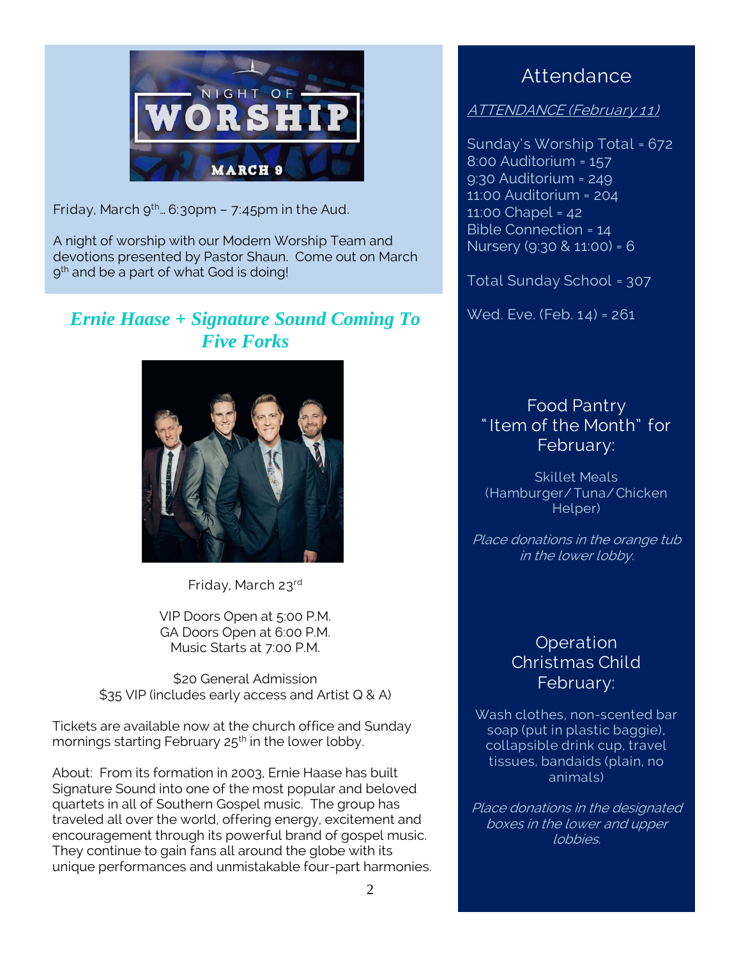

Friday, March  $9^{th}$ ... 6:30pm - 7:45pm in the Aud.

A night of worship with our Modern Worship Team and devotions presented by Pastor Shaun. Come out on March 9 th and be a part of what God is doing!

## *Ernie Haase + Signature Sound Coming To Five Forks*



Friday, March 23rd

VIP Doors Open at 5:00 P.M. GA Doors Open at 6:00 P.M. Music Starts at 7:00 P.M.

\$20 General Admission \$35 VIP (includes early access and Artist Q & A)

Tickets are available now at the church office and Sunday mornings starting February 25<sup>th</sup> in the lower lobby.

About: From its formation in 2003, Ernie Haase has built Signature Sound into one of the most popular and beloved quartets in all of Southern Gospel music. The group has traveled all over the world, offering energy, excitement and encouragement through its powerful brand of gospel music. They continue to gain fans all around the globe with its unique performances and unmistakable four-part harmonies.

## Attendance

ATTENDANCE (February 11)

Sunday's Worship Total = 672 8:00 Auditorium = 157 9:30 Auditorium = 249 11:00 Auditorium = 204 11:00 Chapel = 42 Bible Connection = 14 Nursery (9:30 & 11:00) = 6

Total Sunday School = 307

Wed. Eve. (Feb. 14) = 261

### Food Pantry " Item of the Month" for February:

Skillet Meals (Hamburger/ Tuna/Chicken Helper)

Place donations in the orange tub in the lower lobby.

### **Operation** Christmas Child February:

Wash clothes, non-scented bar soap (put in plastic baggie), collapsible drink cup, travel tissues, bandaids (plain, no animals)

Place donations in the designated boxes in the lower and upper lobbies.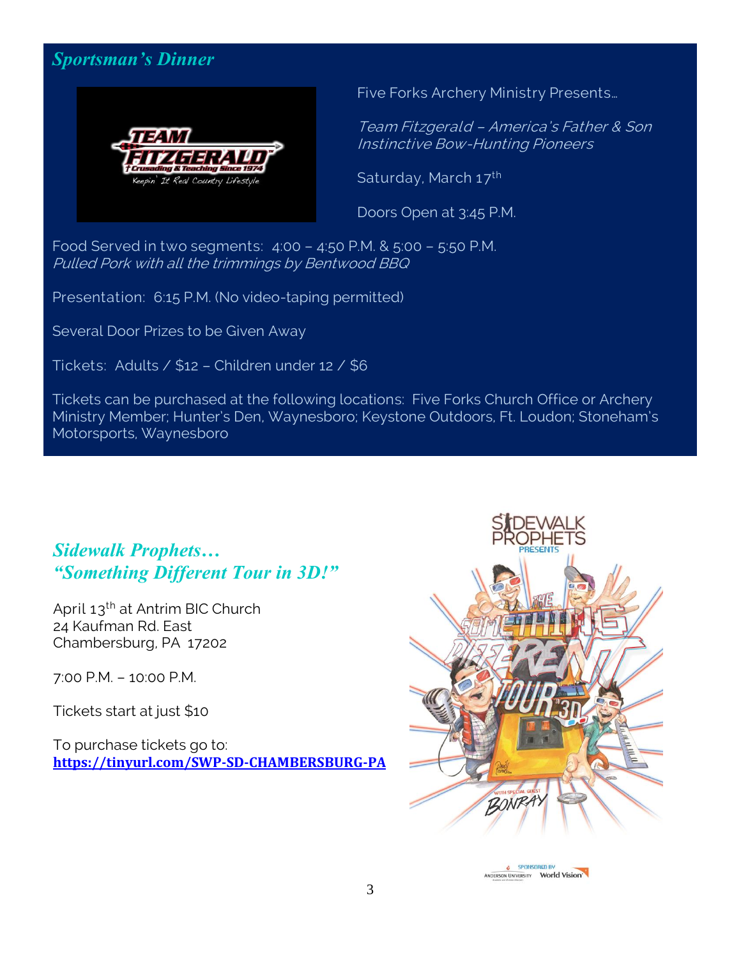## *Sportsman's Dinner*



Five Forks Archery Ministry Presents…

Team Fitzgerald – America's Father & Son Instinctive Bow-Hunting Pioneers

Saturday, March 17<sup>th</sup>

Doors Open at 3:45 P.M.

Food Served in two segments: 4:00 – 4:50 P.M. & 5:00 – 5:50 P.M. Pulled Pork with all the trimmings by Bentwood BBQ

Presentation: 6:15 P.M. (No video-taping permitted)

Several Door Prizes to be Given Away

Tickets: Adults / \$12 – Children under 12 / \$6

Tickets can be purchased at the following locations: Five Forks Church Office or Archery Ministry Member; Hunter's Den, Waynesboro; Keystone Outdoors, Ft. Loudon; Stoneham's Motorsports, Waynesboro

## *Sidewalk Prophets… "Something Different Tour in 3D!"*

April 13<sup>th</sup> at Antrim BIC Church 24 Kaufman Rd. East Chambersburg, PA 17202

7:00 P.M. – 10:00 P.M.

Tickets start at just \$10

To purchase tickets go to: **<https://tinyurl.com/SWP-SD-CHAMBERSBURG-PA>** 



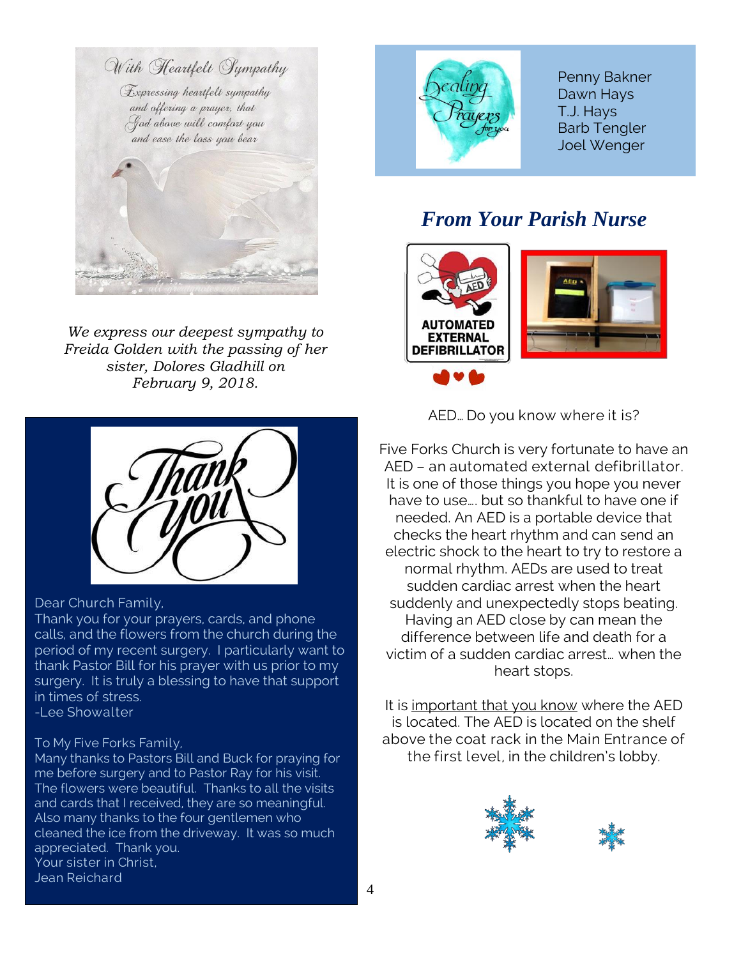

*We express our deepest sympathy to Freida Golden with the passing of her sister, Dolores Gladhill on February 9, 2018.*



#### Dear Church Family,

Thank you for your prayers, cards, and phone calls, and the flowers from the church during the period of my recent surgery. I particularly want to thank Pastor Bill for his prayer with us prior to my surgery. It is truly a blessing to have that support in times of stress. -Lee Showalter

#### To My Five Forks Family,

Many thanks to Pastors Bill and Buck for praying for me before surgery and to Pastor Ray for his visit. The flowers were beautiful. Thanks to all the visits and cards that I received, they are so meaningful. Also many thanks to the four gentlemen who cleaned the ice from the driveway. It was so much appreciated. Thank you. Your sister in Christ, Jean Reichard



Penny Bakner Dawn Hays T.J. Hays Barb Tengler Joel Wenger

# *From Your Parish Nurse*



AED… Do you know where it is?

Five Forks Church is very fortunate to have an AED – an automated external defibrillator. It is one of those things you hope you never have to use…. but so thankful to have one if needed. An AED is a portable device that checks the heart rhythm and can send an electric shock to the heart to try to restore a normal rhythm. AEDs are used to treat sudden cardiac arrest when the heart suddenly and unexpectedly stops beating. Having an AED close by can mean the difference between life and death for a victim of a sudden cardiac arrest… when the heart stops.

It is important that you know where the AED is located. The AED is located on the shelf above the coat rack in the Main Entrance of the first level, in the children's lobby.



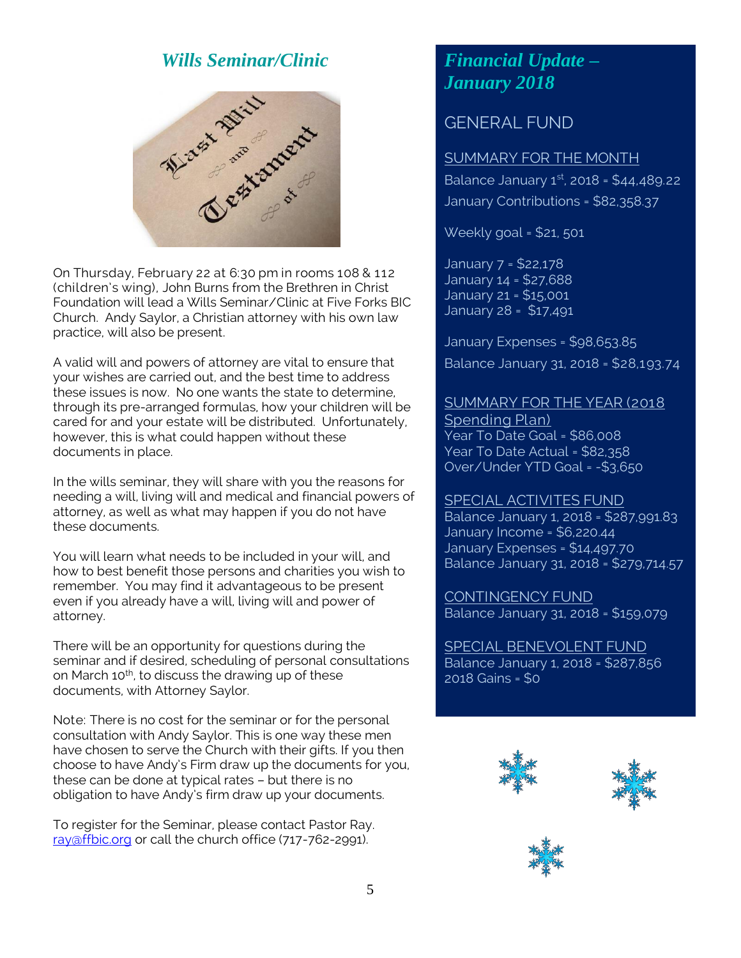### *Wills Seminar/Clinic*



On Thursday, February 22 at 6:30 pm in rooms 108 & 112 (children's wing), John Burns from the Brethren in Christ Foundation will lead a Wills Seminar/Clinic at Five Forks BIC Church. Andy Saylor, a Christian attorney with his own law practice, will also be present.

A valid will and powers of attorney are vital to ensure that your wishes are carried out, and the best time to address these issues is now. No one wants the state to determine, through its pre-arranged formulas, how your children will be cared for and your estate will be distributed. Unfortunately, however, this is what could happen without these documents in place.

In the wills seminar, they will share with you the reasons for needing a will, living will and medical and financial powers of attorney, as well as what may happen if you do not have these documents.

You will learn what needs to be included in your will, and how to best benefit those persons and charities you wish to remember. You may find it advantageous to be present even if you already have a will, living will and power of attorney.

There will be an opportunity for questions during the seminar and if desired, scheduling of personal consultations on March 10<sup>th</sup>, to discuss the drawing up of these documents, with Attorney Saylor.

Note: There is no cost for the seminar or for the personal consultation with Andy Saylor. This is one way these men have chosen to serve the Church with their gifts. If you then choose to have Andy's Firm draw up the documents for you, these can be done at typical rates – but there is no obligation to have Andy's firm draw up your documents.

To register for the Seminar, please contact Pastor Ray. [ray@ffbic.org](mailto:ray@ffbic.org) or call the church office (717-762-2991).

## *Financial Update – January 2018*

GENERAL FUND

#### SUMMARY FOR THE MONTH

Balance January  $1^{st}$ , 2018 = \$44,489.22 January Contributions = \$82,358.37

Weekly goal = \$21, 501

January 7 = \$22,178 January 14 = \$27,688 January 21 = \$15,001 January 28 = \$17,491

January Expenses = \$98,653.85 Balance January 31, 2018 = \$28,193.74

SUMMARY FOR THE YEAR (2018 Spending Plan) Year To Date Goal = \$86,008 Year To Date Actual = \$82,358 Over/Under YTD Goal = -\$3,650

SPECIAL ACTIVITES FUND Balance January 1, 2018 = \$287,991.83 January Income = \$6,220.44 January Expenses = \$14,497.70 Balance January 31, 2018 = \$279,714.57

CONTINGENCY FUND Balance January 31, 2018 = \$159,079

SPECIAL BENEVOLENT FUND Balance January 1, 2018 = \$287,856 2018 Gains = \$0

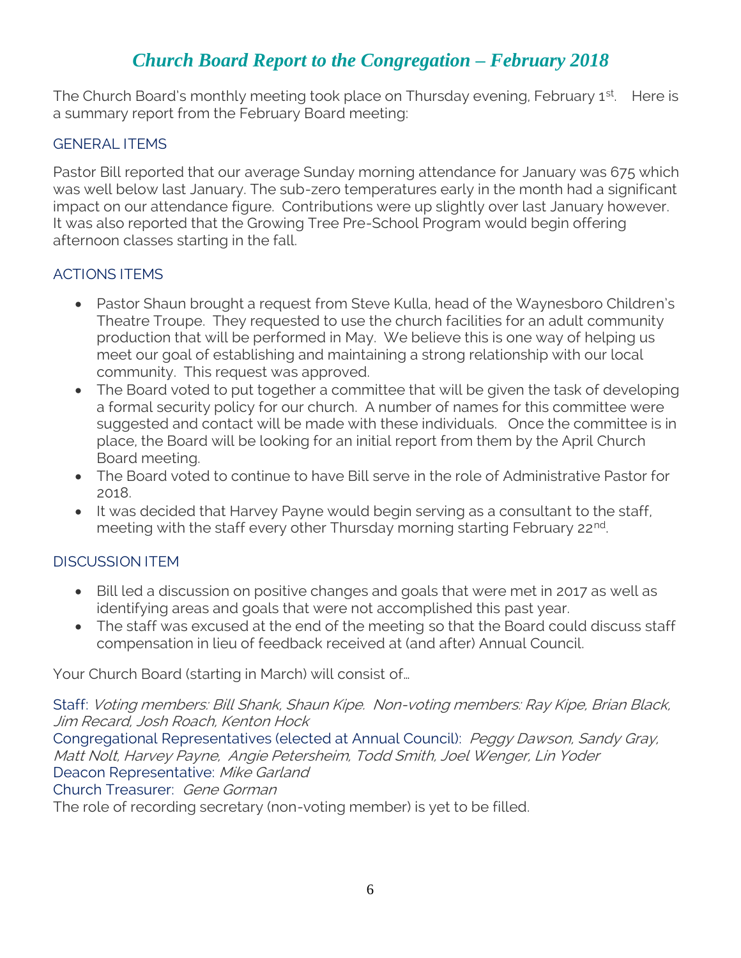## *Church Board Report to the Congregation – February 2018*

The Church Board's monthly meeting took place on Thursday evening, February 1<sup>st</sup>. Here is a summary report from the February Board meeting:

#### GENERAL ITEMS

Pastor Bill reported that our average Sunday morning attendance for January was 675 which was well below last January. The sub-zero temperatures early in the month had a significant impact on our attendance figure. Contributions were up slightly over last January however. It was also reported that the Growing Tree Pre-School Program would begin offering afternoon classes starting in the fall.

### ACTIONS ITEMS

- Pastor Shaun brought a request from Steve Kulla, head of the Waynesboro Children's Theatre Troupe. They requested to use the church facilities for an adult community production that will be performed in May. We believe this is one way of helping us meet our goal of establishing and maintaining a strong relationship with our local community. This request was approved.
- The Board voted to put together a committee that will be given the task of developing a formal security policy for our church. A number of names for this committee were suggested and contact will be made with these individuals. Once the committee is in place, the Board will be looking for an initial report from them by the April Church Board meeting.
- The Board voted to continue to have Bill serve in the role of Administrative Pastor for 2018.
- It was decided that Harvey Payne would begin serving as a consultant to the staff, meeting with the staff every other Thursday morning starting February 22<sup>nd</sup>.

### DISCUSSION ITEM

- Bill led a discussion on positive changes and goals that were met in 2017 as well as identifying areas and goals that were not accomplished this past year.
- The staff was excused at the end of the meeting so that the Board could discuss staff compensation in lieu of feedback received at (and after) Annual Council.

Your Church Board (starting in March) will consist of…

Staff: Voting members: Bill Shank, Shaun Kipe. Non-voting members: Ray Kipe, Brian Black, Jim Recard, Josh Roach, Kenton Hock

Congregational Representatives (elected at Annual Council): Peggy Dawson, Sandy Gray, Matt Nolt, Harvey Payne, Angie Petersheim, Todd Smith, Joel Wenger, Lin Yoder Deacon Representative: Mike Garland

Church Treasurer: Gene Gorman

The role of recording secretary (non-voting member) is yet to be filled.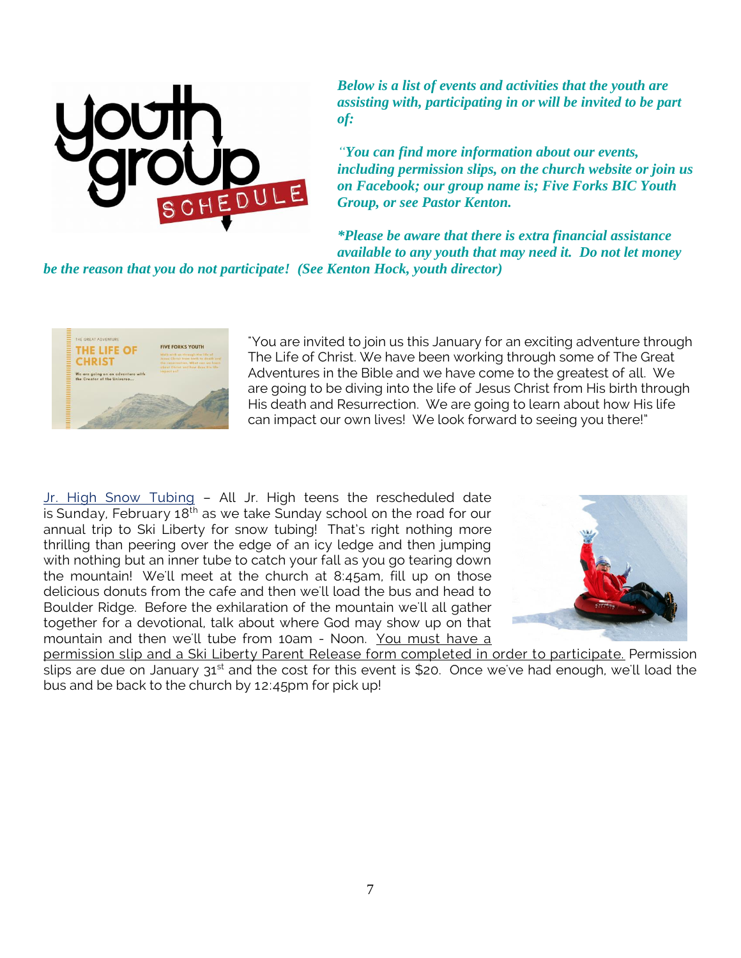

*Below is a list of events and activities that the youth are assisting with, participating in or will be invited to be part of:*

*"You can find more information about our events, including permission slips, on the church website or join us on Facebook; our group name is; Five Forks BIC Youth Group, or see Pastor Kenton.*

*\*Please be aware that there is extra financial assistance available to any youth that may need it. Do not let money* 

*be the reason that you do not participate! (See Kenton Hock, youth director)*



"You are invited to join us this January for an exciting adventure through The Life of Christ. We have been working through some of The Great Adventures in the Bible and we have come to the greatest of all. We are going to be diving into the life of Jesus Christ from His birth through His death and Resurrection. We are going to learn about how His life can impact our own lives! We look forward to seeing you there!"

Jr. High Snow Tubing - All Jr. High teens the rescheduled date is Sunday, February  $18^{th}$  as we take Sunday school on the road for our annual trip to Ski Liberty for snow tubing! That's right nothing more thrilling than peering over the edge of an icy ledge and then jumping with nothing but an inner tube to catch your fall as you go tearing down the mountain! We'll meet at the church at 8:45am, fill up on those delicious donuts from the cafe and then we'll load the bus and head to Boulder Ridge. Before the exhilaration of the mountain we'll all gather together for a devotional, talk about where God may show up on that mountain and then we'll tube from 10am - Noon. You must have a



permission slip and a Ski Liberty Parent Release form completed in order to participate. Permission slips are due on January 31<sup>st</sup> and the cost for this event is \$20. Once we've had enough, we'll load the bus and be back to the church by 12:45pm for pick up!